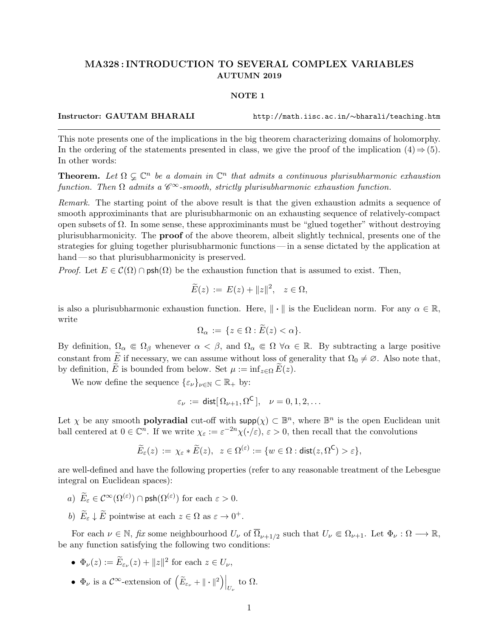## MA328 : INTRODUCTION TO SEVERAL COMPLEX VARIABLES AUTUMN 2019

## NOTE 1

Instructor: GAUTAM BHARALI http://math.iisc.ac.in/∼bharali/teaching.htm

This note presents one of the implications in the big theorem characterizing domains of holomorphy. In the ordering of the statements presented in class, we give the proof of the implication  $(4) \Rightarrow (5)$ . In other words:

**Theorem.** Let  $\Omega \subsetneq \mathbb{C}^n$  be a domain in  $\mathbb{C}^n$  that admits a continuous plurisubharmonic exhaustion function. Then  $\Omega$  admits a  $\mathscr{C}^{\infty}$ -smooth, strictly plurisubharmonic exhaustion function.

Remark. The starting point of the above result is that the given exhaustion admits a sequence of smooth approximinants that are plurisubharmonic on an exhausting sequence of relatively-compact open subsets of  $\Omega$ . In some sense, these approximinants must be "glued together" without destroying plurisubharmonicity. The proof of the above theorem, albeit slightly technical, presents one of the strategies for gluing together plurisubharmonic functions— in a sense dictated by the application at hand — so that plurisubharmonicity is preserved.

*Proof.* Let  $E \in \mathcal{C}(\Omega) \cap \text{psh}(\Omega)$  be the exhaustion function that is assumed to exist. Then,

$$
\widetilde{E}(z) := E(z) + ||z||^2, \quad z \in \Omega,
$$

is also a plurisubharmonic exhaustion function. Here,  $\|\cdot\|$  is the Euclidean norm. For any  $\alpha \in \mathbb{R}$ , write

$$
\Omega_{\alpha} := \{ z \in \Omega : E(z) < \alpha \}.
$$

By definition,  $\Omega_{\alpha} \in \Omega_{\beta}$  whenever  $\alpha < \beta$ , and  $\Omega_{\alpha} \in \Omega$   $\forall \alpha \in \mathbb{R}$ . By subtracting a large positive constant from E if necessary, we can assume without loss of generality that  $\Omega_0 \neq \emptyset$ . Also note that, by definition, E is bounded from below. Set  $\mu := \inf_{z \in \Omega} E(z)$ .

We now define the sequence  $\{\varepsilon_{\nu}\}_{\nu \in \mathbb{N}} \subset \mathbb{R}_+$  by:

$$
\varepsilon_{\nu} := \text{dist}[\,\Omega_{\nu+1}, \Omega^{\mathsf{C}}\,], \quad \nu = 0, 1, 2, \dots
$$

Let  $\chi$  be any smooth **polyradial** cut-off with  $\text{supp}(\chi) \subset \mathbb{B}^n$ , where  $\mathbb{B}^n$  is the open Euclidean unit ball centered at  $0 \in \mathbb{C}^n$ . If we write  $\chi_{\varepsilon} := \varepsilon^{-2n}\chi(\cdot/\varepsilon), \, \varepsilon > 0$ , then recall that the convolutions

$$
\widetilde{E}_{\varepsilon}(z) := \chi_{\varepsilon} * \widetilde{E}(z), \ \ z \in \Omega^{(\varepsilon)} := \{ w \in \Omega : \text{dist}(z, \Omega^{\mathsf{C}}) > \varepsilon \},
$$

are well-defined and have the following properties (refer to any reasonable treatment of the Lebesgue integral on Euclidean spaces):

- a)  $\widetilde{E}_{\varepsilon} \in \mathcal{C}^{\infty}(\Omega^{(\varepsilon)}) \cap \mathsf{psh}(\Omega^{(\varepsilon)})$  for each  $\varepsilon > 0$ .
- b)  $\widetilde{E}_{\varepsilon} \downarrow \widetilde{E}$  pointwise at each  $z \in \Omega$  as  $\varepsilon \to 0^+$ .

For each  $\nu \in \mathbb{N}$ , fix some neighbourhood  $U_{\nu}$  of  $\overline{\Omega}_{\nu+1/2}$  such that  $U_{\nu} \Subset \Omega_{\nu+1}$ . Let  $\Phi_{\nu} : \Omega \longrightarrow \mathbb{R}$ , be any function satisfying the following two conditions:

- $\Phi_{\nu}(z) := \widetilde{E}_{\varepsilon_{\nu}}(z) + ||z||^2$  for each  $z \in U_{\nu}$ ,
- $\Phi_{\nu}$  is a  $\mathcal{C}^{\infty}$ -extension of  $(\tilde{E}_{\varepsilon_{\nu}} + ||\cdot||^2) \Big|_{U_{\nu}}$  to  $\Omega$ .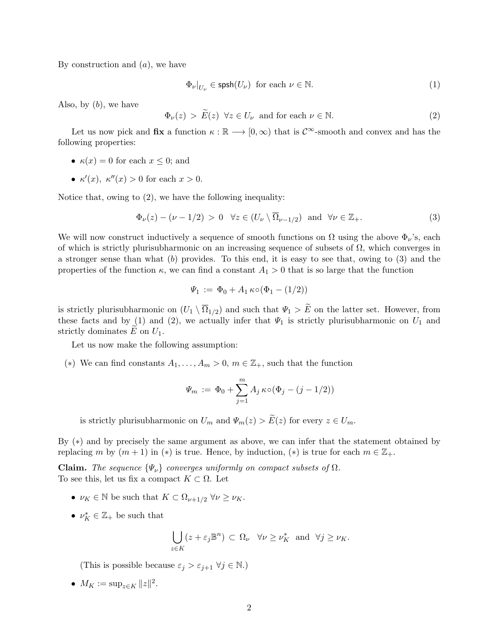By construction and  $(a)$ , we have

$$
\Phi_{\nu}|_{U_{\nu}} \in \text{spsh}(U_{\nu}) \text{ for each } \nu \in \mathbb{N}.
$$
\n(1)

Also, by  $(b)$ , we have

 $\Phi_{\nu}(z) > \widetilde{E}(z) \quad \forall z \in U_{\nu} \text{ and for each } \nu \in \mathbb{N}.$ (2)

Let us now pick and  $fix$  a function  $\kappa : \mathbb{R} \longrightarrow [0, \infty)$  that is  $\mathcal{C}^{\infty}$ -smooth and convex and has the following properties:

- $\kappa(x) = 0$  for each  $x \leq 0$ ; and
- $\kappa'(x)$ ,  $\kappa''(x) > 0$  for each  $x > 0$ .

Notice that, owing to (2), we have the following inequality:

$$
\Phi_{\nu}(z) - (\nu - 1/2) > 0 \quad \forall z \in (U_{\nu} \setminus \overline{\Omega}_{\nu - 1/2}) \quad \text{and} \quad \forall \nu \in \mathbb{Z}_{+}.
$$
 (3)

We will now construct inductively a sequence of smooth functions on  $\Omega$  using the above  $\Phi_{\nu}$ 's, each of which is strictly plurisubharmonic on an increasing sequence of subsets of  $\Omega$ , which converges in a stronger sense than what  $(b)$  provides. To this end, it is easy to see that, owing to  $(3)$  and the properties of the function  $\kappa$ , we can find a constant  $A_1 > 0$  that is so large that the function

$$
\Psi_1 := \Phi_0 + A_1 \kappa \circ (\Phi_1 - (1/2))
$$

is strictly plurisubharmonic on  $(U_1 \setminus \Omega_{1/2})$  and such that  $\Psi_1 > E$  on the latter set. However, from these facts and by (1) and (2), we actually infer that  $\Psi_1$  is strictly plurisubharmonic on  $U_1$  and strictly dominates  $E$  on  $U_1$ .

Let us now make the following assumption:

(\*) We can find constants  $A_1, \ldots, A_m > 0, m \in \mathbb{Z}_+$ , such that the function

$$
\Psi_m := \Phi_0 + \sum_{j=1}^m A_j \kappa \circ (\Phi_j - (j - 1/2))
$$

is strictly plurisubharmonic on  $U_m$  and  $\Psi_m(z) > \widetilde{E}(z)$  for every  $z \in U_m$ .

By (∗) and by precisely the same argument as above, we can infer that the statement obtained by replacing m by  $(m + 1)$  in  $(*)$  is true. Hence, by induction,  $(*)$  is true for each  $m \in \mathbb{Z}_{+}$ .

**Claim.** The sequence  $\{\Psi_{\nu}\}\$  converges uniformly on compact subsets of  $\Omega$ . To see this, let us fix a compact  $K \subset \Omega$ . Let

- $\nu_K \in \mathbb{N}$  be such that  $K \subset \Omega_{\nu+1/2} \,\forall \nu \geq \nu_K$ .
- $\nu_K^* \in \mathbb{Z}_+$  be such that

$$
\bigcup_{z \in K} (z + \varepsilon_j \mathbb{B}^n) \subset \Omega_{\nu} \quad \forall \nu \ge \nu_K^* \quad \text{and} \quad \forall j \ge \nu_K.
$$

(This is possible because  $\varepsilon_j > \varepsilon_{j+1} \ \forall j \in \mathbb{N}$ .)

•  $M_K := \sup_{z \in K} ||z||^2$ .